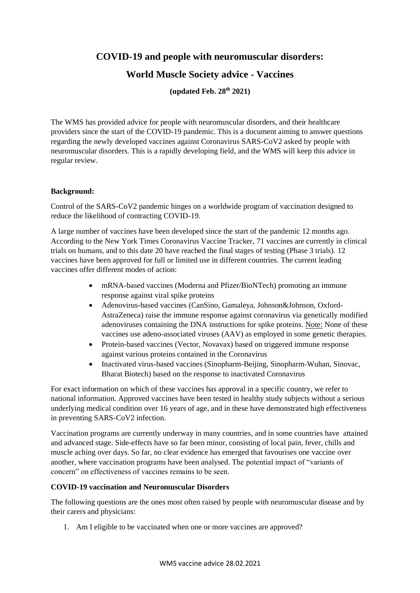**COVID-19 and people with neuromuscular disorders:**

# **World Muscle Society advice - Vaccines**

**(updated Feb. 28th 2021)**

The WMS has provided advice for people with neuromuscular disorders, and their healthcare providers since the start of the COVID-19 pandemic. This is a document aiming to answer questions regarding the newly developed vaccines against Coronavirus SARS-CoV2 asked by people with neuromuscular disorders. This is a rapidly developing field, and the WMS will keep this advice in regular review.

## **Background:**

Control of the SARS-CoV2 pandemic hinges on a worldwide program of vaccination designed to reduce the likelihood of contracting COVID-19.

A large number of vaccines have been developed since the start of the pandemic 12 months ago. According to the New York Times Coronavirus Vaccine Tracker, 71 vaccines are currently in clinical trials on humans, and to this date 20 have reached the final stages of testing (Phase 3 trials). 12 vaccines have been approved for full or limited use in different countries. The current leading vaccines offer different modes of action:

- mRNA-based vaccines (Moderna and Pfizer/BioNTech) promoting an immune response against viral spike proteins
- Adenovirus-based vaccines (CanSino, Gamaleya, Johnson&Johnson, Oxford-AstraZeneca) raise the immune response against coronavirus via genetically modified adenoviruses containing the DNA instructions for spike proteins. Note: None of these vaccines use adeno-associated viruses (AAV) as employed in some genetic therapies.
- Protein-based vaccines (Vector, Novavax) based on triggered immune response against various proteins contained in the Coronavirus
- Inactivated virus-based vaccines (Sinopharm-Beijing, Sinopharm-Wuhan, Sinovac, Bharat Biotech) based on the response to inactivated Coronavirus

For exact information on which of these vaccines has approval in a specific country, we refer to national information. Approved vaccines have been tested in healthy study subjects without a serious underlying medical condition over 16 years of age, and in these have demonstrated high effectiveness in preventing SARS-CoV2 infection.

Vaccination programs are currently underway in many countries, and in some countries have attained and advanced stage. Side-effects have so far been minor, consisting of local pain, fever, chills and muscle aching over days. So far, no clear evidence has emerged that favourises one vaccine over another, where vaccination programs have been analysed. The potential impact of "variants of concern" on effectiveness of vaccines remains to be seen.

### **COVID-19 vaccination and Neuromuscular Disorders**

The following questions are the ones most often raised by people with neuromuscular disease and by their carers and physicians:

1. Am I eligible to be vaccinated when one or more vaccines are approved?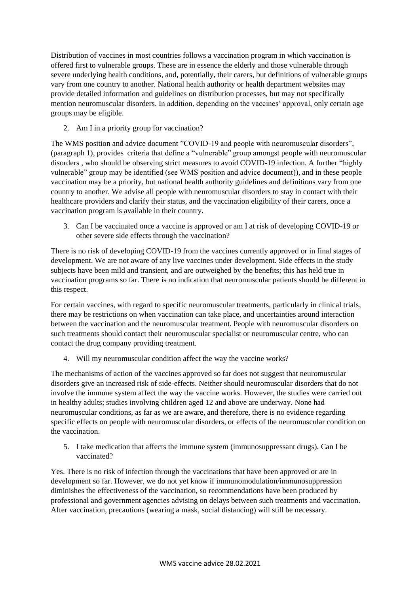Distribution of vaccines in most countries follows a vaccination program in which vaccination is offered first to vulnerable groups. These are in essence the elderly and those vulnerable through severe underlying health conditions, and, potentially, their carers, but definitions of vulnerable groups vary from one country to another. National health authority or health department websites may provide detailed information and guidelines on distribution processes, but may not specifically mention neuromuscular disorders. In addition, depending on the vaccines' approval, only certain age groups may be eligible.

2. Am I in a priority group for vaccination?

The WMS position and advice document "COVID-19 and people with neuromuscular disorders", (paragraph 1), provides criteria that define a "vulnerable" group amongst people with neuromuscular disorders , who should be observing strict measures to avoid COVID-19 infection. A further "highly vulnerable" group may be identified (see WMS position and advice document)), and in these people vaccination may be a priority, but national health authority guidelines and definitions vary from one country to another. We advise all people with neuromuscular disorders to stay in contact with their healthcare providers and clarify their status, and the vaccination eligibility of their carers, once a vaccination program is available in their country.

3. Can I be vaccinated once a vaccine is approved or am I at risk of developing COVID-19 or other severe side effects through the vaccination?

There is no risk of developing COVID-19 from the vaccines currently approved or in final stages of development. We are not aware of any live vaccines under development. Side effects in the study subjects have been mild and transient, and are outweighed by the benefits; this has held true in vaccination programs so far. There is no indication that neuromuscular patients should be different in this respect.

For certain vaccines, with regard to specific neuromuscular treatments, particularly in clinical trials, there may be restrictions on when vaccination can take place, and uncertainties around interaction between the vaccination and the neuromuscular treatment. People with neuromuscular disorders on such treatments should contact their neuromuscular specialist or neuromuscular centre, who can contact the drug company providing treatment.

4. Will my neuromuscular condition affect the way the vaccine works?

The mechanisms of action of the vaccines approved so far does not suggest that neuromuscular disorders give an increased risk of side-effects. Neither should neuromuscular disorders that do not involve the immune system affect the way the vaccine works. However, the studies were carried out in healthy adults; studies involving children aged 12 and above are underway. None had neuromuscular conditions, as far as we are aware, and therefore, there is no evidence regarding specific effects on people with neuromuscular disorders, or effects of the neuromuscular condition on the vaccination.

5. I take medication that affects the immune system (immunosuppressant drugs). Can I be vaccinated?

Yes. There is no risk of infection through the vaccinations that have been approved or are in development so far. However, we do not yet know if immunomodulation/immunosuppression diminishes the effectiveness of the vaccination, so recommendations have been produced by professional and government agencies advising on delays between such treatments and vaccination. After vaccination, precautions (wearing a mask, social distancing) will still be necessary.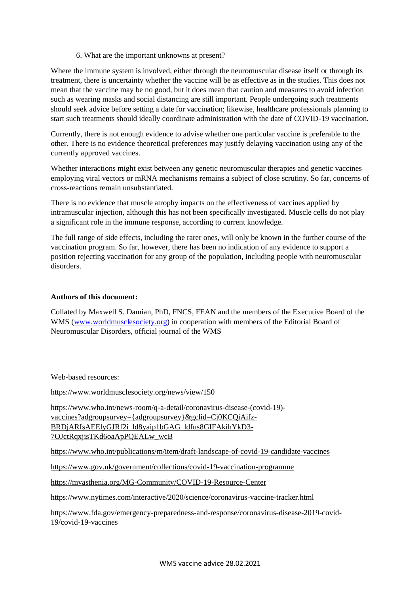6. What are the important unknowns at present?

Where the immune system is involved, either through the neuromuscular disease itself or through its treatment, there is uncertainty whether the vaccine will be as effective as in the studies. This does not mean that the vaccine may be no good, but it does mean that caution and measures to avoid infection such as wearing masks and social distancing are still important. People undergoing such treatments should seek advice before setting a date for vaccination; likewise, healthcare professionals planning to start such treatments should ideally coordinate administration with the date of COVID-19 vaccination.

Currently, there is not enough evidence to advise whether one particular vaccine is preferable to the other. There is no evidence theoretical preferences may justify delaying vaccination using any of the currently approved vaccines.

Whether interactions might exist between any genetic neuromuscular therapies and genetic vaccines employing viral vectors or mRNA mechanisms remains a subject of close scrutiny. So far, concerns of cross-reactions remain unsubstantiated.

There is no evidence that muscle atrophy impacts on the effectiveness of vaccines applied by intramuscular injection, although this has not been specifically investigated. Muscle cells do not play a significant role in the immune response, according to current knowledge.

The full range of side effects, including the rarer ones, will only be known in the further course of the vaccination program. So far, however, there has been no indication of any evidence to support a position rejecting vaccination for any group of the population, including people with neuromuscular disorders.

#### **Authors of this document:**

Collated by Maxwell S. Damian, PhD, FNCS, FEAN and the members of the Executive Board of the WMS [\(www.worldmusclesociety.org\)](http://www.worldmusclesociety.org/) in cooperation with members of the Editorial Board of Neuromuscular Disorders, official journal of the WMS

#### Web-based resources:

https://www.worldmusclesociety.org/news/view/150

[https://www.who.int/news-room/q-a-detail/coronavirus-disease-\(covid-19\)](https://www.who.int/news-room/q-a-detail/coronavirus-disease-(covid-19)-vaccines?adgroupsurvey=%7badgroupsurvey%7d&gclid=Cj0KCQiAifz-BRDjARIsAEElyGJRf2i_ld8yaip1bGAG_ldfus8GIFAkihYkD3-7OJctRqxjisTKd6oaApPQEALw_wcB) [vaccines?adgroupsurvey={adgroupsurvey}&gclid=Cj0KCQiAifz-](https://www.who.int/news-room/q-a-detail/coronavirus-disease-(covid-19)-vaccines?adgroupsurvey=%7badgroupsurvey%7d&gclid=Cj0KCQiAifz-BRDjARIsAEElyGJRf2i_ld8yaip1bGAG_ldfus8GIFAkihYkD3-7OJctRqxjisTKd6oaApPQEALw_wcB)[BRDjARIsAEElyGJRf2i\\_ld8yaip1bGAG\\_ldfus8GIFAkihYkD3-](https://www.who.int/news-room/q-a-detail/coronavirus-disease-(covid-19)-vaccines?adgroupsurvey=%7badgroupsurvey%7d&gclid=Cj0KCQiAifz-BRDjARIsAEElyGJRf2i_ld8yaip1bGAG_ldfus8GIFAkihYkD3-7OJctRqxjisTKd6oaApPQEALw_wcB) [7OJctRqxjisTKd6oaApPQEALw\\_wcB](https://www.who.int/news-room/q-a-detail/coronavirus-disease-(covid-19)-vaccines?adgroupsurvey=%7badgroupsurvey%7d&gclid=Cj0KCQiAifz-BRDjARIsAEElyGJRf2i_ld8yaip1bGAG_ldfus8GIFAkihYkD3-7OJctRqxjisTKd6oaApPQEALw_wcB)

<https://www.who.int/publications/m/item/draft-landscape-of-covid-19-candidate-vaccines>

<https://www.gov.uk/government/collections/covid-19-vaccination-programme>

<https://myasthenia.org/MG-Community/COVID-19-Resource-Center>

<https://www.nytimes.com/interactive/2020/science/coronavirus-vaccine-tracker.html>

[https://www.fda.gov/emergency-preparedness-and-response/coronavirus-disease-2019-covid-](https://www.fda.gov/emergency-preparedness-and-response/coronavirus-disease-2019-covid-19/covid-19-vaccines)[19/covid-19-vaccines](https://www.fda.gov/emergency-preparedness-and-response/coronavirus-disease-2019-covid-19/covid-19-vaccines)